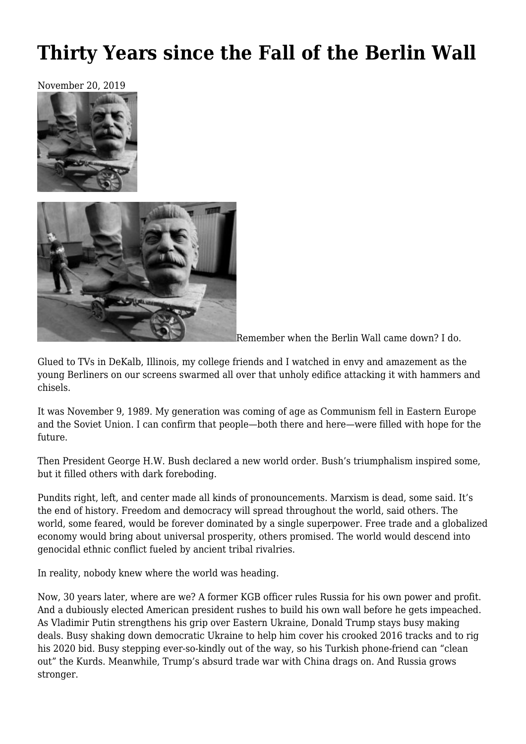## **[Thirty Years since the Fall of the Berlin Wall](https://newpol.org/thirty-years-since-the-fall-of-the-berlin-wall/)**

November 20, 2019





Remember when the Berlin Wall came down? I do.

Glued to TVs in DeKalb, Illinois, my college friends and I watched in envy and amazement as the young Berliners on our screens swarmed all over that unholy edifice attacking it with hammers and chisels.

It was November 9, 1989. My generation was coming of age as Communism fell in Eastern Europe and the Soviet Union. I can confirm that people—both there and here—were filled with hope for the future.

Then President George H.W. Bush declared a new world order. Bush's triumphalism inspired some, but it filled others with dark foreboding.

Pundits right, left, and center made all kinds of pronouncements. Marxism is dead, some said. It's the end of history. Freedom and democracy will spread throughout the world, said others. The world, some feared, would be forever dominated by a single superpower. Free trade and a globalized economy would bring about universal prosperity, others promised. The world would descend into genocidal ethnic conflict fueled by ancient tribal rivalries.

In reality, nobody knew where the world was heading.

Now, 30 years later, where are we? A former KGB officer rules Russia for his own power and profit. And a dubiously elected American president rushes to build his own wall before he gets impeached. As Vladimir Putin strengthens his grip over Eastern Ukraine, Donald Trump stays busy making deals. Busy shaking down democratic Ukraine to help him cover his crooked 2016 tracks and to rig his 2020 bid. Busy stepping ever-so-kindly out of the way, so his Turkish phone-friend can "clean out" the Kurds. Meanwhile, Trump's absurd trade war with China drags on. And Russia grows stronger.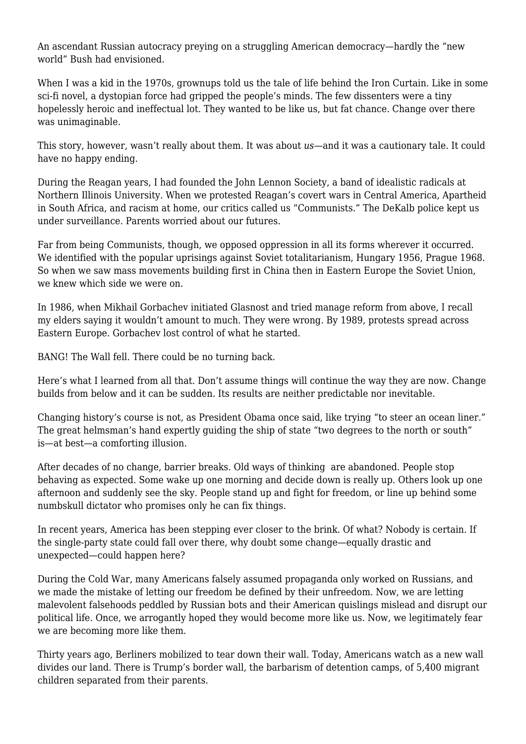An ascendant Russian autocracy preying on a struggling American democracy—hardly the "new world" Bush had envisioned.

When I was a kid in the 1970s, grownups told us the tale of life behind the Iron Curtain. Like in some sci-fi novel, a dystopian force had gripped the people's minds. The few dissenters were a tiny hopelessly heroic and ineffectual lot. They wanted to be like us, but fat chance. Change over there was unimaginable.

This story, however, wasn't really about them. It was about *us*—and it was a cautionary tale. It could have no happy ending.

During the Reagan years, I had founded the John Lennon Society, a band of idealistic radicals at Northern Illinois University. When we protested Reagan's covert wars in Central America, Apartheid in South Africa, and racism at home, our critics called us "Communists." The DeKalb police kept us under surveillance. Parents worried about our futures.

Far from being Communists, though, we opposed oppression in all its forms wherever it occurred. We identified with the popular uprisings against Soviet totalitarianism, Hungary 1956, Prague 1968. So when we saw mass movements building first in China then in Eastern Europe the Soviet Union, we knew which side we were on.

In 1986, when Mikhail Gorbachev initiated Glasnost and tried manage reform from above, I recall my elders saying it wouldn't amount to much. They were wrong. By 1989, protests spread across Eastern Europe. Gorbachev lost control of what he started.

BANG! The Wall fell. There could be no turning back.

Here's what I learned from all that. Don't assume things will continue the way they are now. Change builds from below and it can be sudden. Its results are neither predictable nor inevitable.

Changing history's course is not, as President Obama once said, like trying "to steer an ocean liner." The great helmsman's hand expertly guiding the ship of state "two degrees to the north or south" is—at best—a comforting illusion.

After decades of no change, barrier breaks. Old ways of thinking are abandoned. People stop behaving as expected. Some wake up one morning and decide down is really up. Others look up one afternoon and suddenly see the sky. People stand up and fight for freedom, or line up behind some numbskull dictator who promises only he can fix things.

In recent years, America has been stepping ever closer to the brink. Of what? Nobody is certain. If the single-party state could fall over there, why doubt some change—equally drastic and unexpected—could happen here?

During the Cold War, many Americans falsely assumed propaganda only worked on Russians, and we made the mistake of letting our freedom be defined by their unfreedom. Now, we are letting malevolent falsehoods peddled by Russian bots and their American quislings mislead and disrupt our political life. Once, we arrogantly hoped they would become more like us. Now, we legitimately fear we are becoming more like them.

Thirty years ago, Berliners mobilized to tear down their wall. Today, Americans watch as a new wall divides our land. There is Trump's border wall, the barbarism of detention camps, of 5,400 migrant children separated from their parents.